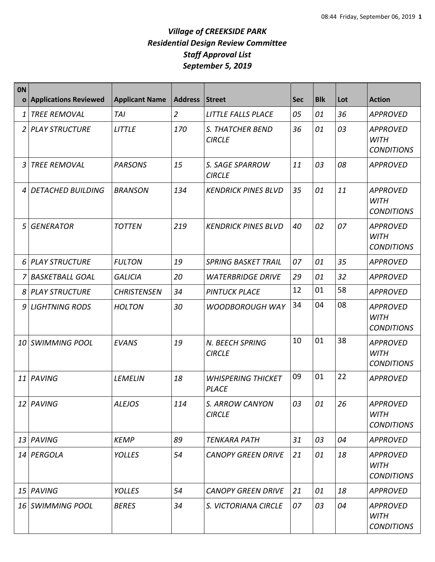| <b>ON</b><br>$\mathbf{o}$ | <b>Applications Reviewed</b> | <b>Applicant Name</b> | <b>Address</b> | Street                                    | <b>Sec</b> | <b>Blk</b> | Lot | <b>Action</b>                                       |
|---------------------------|------------------------------|-----------------------|----------------|-------------------------------------------|------------|------------|-----|-----------------------------------------------------|
| 1                         | <b>TREE REMOVAL</b>          | <b>TAI</b>            | $\overline{2}$ | LITTLE FALLS PLACE                        | 05         | 01         | 36  | <b>APPROVED</b>                                     |
| $\overline{2}$            | <b>PLAY STRUCTURE</b>        | <b>LITTLE</b>         | 170            | S. THATCHER BEND<br><b>CIRCLE</b>         | 36         | 01         | 03  | <b>APPROVED</b><br><b>WITH</b><br><b>CONDITIONS</b> |
| 3                         | <b>TREE REMOVAL</b>          | <b>PARSONS</b>        | 15             | S. SAGE SPARROW<br><b>CIRCLE</b>          | 11         | 03         | 08  | <b>APPROVED</b>                                     |
| 4                         | DETACHED BUILDING            | <b>BRANSON</b>        | 134            | <b>KENDRICK PINES BLVD</b>                | 35         | 01         | 11  | <b>APPROVED</b><br><b>WITH</b><br><b>CONDITIONS</b> |
| 5                         | GENERATOR                    | <b>TOTTEN</b>         | 219            | <b>KENDRICK PINES BLVD</b>                | 40         | 02         | 07  | <b>APPROVED</b><br><b>WITH</b><br><b>CONDITIONS</b> |
|                           | 6 PLAY STRUCTURE             | <b>FULTON</b>         | 19             | <b>SPRING BASKET TRAIL</b>                | 07         | 01         | 35  | <b>APPROVED</b>                                     |
| 7                         | BASKETBALL GOAL              | <b>GALICIA</b>        | 20             | <b>WATERBRIDGE DRIVE</b>                  | 29         | 01         | 32  | <b>APPROVED</b>                                     |
|                           | 8 PLAY STRUCTURE             | <b>CHRISTENSEN</b>    | 34             | <b>PINTUCK PLACE</b>                      | 12         | 01         | 58  | <b>APPROVED</b>                                     |
| 9                         | <b>LIGHTNING RODS</b>        | <b>HOLTON</b>         | 30             | <b>WOODBOROUGH WAY</b>                    | 34         | 04         | 08  | <b>APPROVED</b><br><b>WITH</b><br><b>CONDITIONS</b> |
|                           | 10 SWIMMING POOL             | <b>EVANS</b>          | 19             | N. BEECH SPRING<br><b>CIRCLE</b>          | 10         | 01         | 38  | <b>APPROVED</b><br><b>WITH</b><br><b>CONDITIONS</b> |
|                           | 11 PAVING                    | LEMELIN               | 18             | <b>WHISPERING THICKET</b><br><b>PLACE</b> | 09         | 01         | 22  | <b>APPROVED</b>                                     |
|                           | 12 PAVING                    | <b>ALEJOS</b>         | 114            | S. ARROW CANYON<br><b>CIRCLE</b>          | 03         | 01         | 26  | <b>APPROVED</b><br><b>WITH</b><br><b>CONDITIONS</b> |
|                           | 13 PAVING                    | <b>KEMP</b>           | 89             | <b>TENKARA PATH</b>                       | 31         | 03         | 04  | <b>APPROVED</b>                                     |
|                           | 14 PERGOLA                   | <b>YOLLES</b>         | 54             | <b>CANOPY GREEN DRIVE</b>                 | 21         | 01         | 18  | <b>APPROVED</b><br><b>WITH</b><br><b>CONDITIONS</b> |
|                           | 15 PAVING                    | <b>YOLLES</b>         | 54             | <b>CANOPY GREEN DRIVE</b>                 | 21         | 01         | 18  | <b>APPROVED</b>                                     |
|                           | 16 SWIMMING POOL             | <b>BERES</b>          | 34             | S. VICTORIANA CIRCLE                      | 07         | 03         | 04  | <b>APPROVED</b><br><b>WITH</b><br><b>CONDITIONS</b> |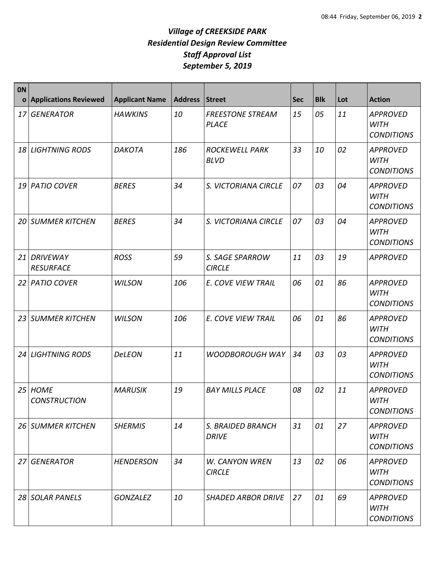| <b>ON</b><br>$\mathbf{o}$ | <b>Applications Reviewed</b>        | <b>Applicant Name</b> | <b>Address</b> | <b>Street</b>                           | <b>Sec</b> | <b>Blk</b> | Lot | <b>Action</b>                                       |
|---------------------------|-------------------------------------|-----------------------|----------------|-----------------------------------------|------------|------------|-----|-----------------------------------------------------|
| 17                        | <b>GENERATOR</b>                    | <b>HAWKINS</b>        | 10             | <b>FREESTONE STREAM</b><br><b>PLACE</b> | 15         | 05         | 11  | <b>APPROVED</b><br><b>WITH</b><br><b>CONDITIONS</b> |
| 18                        | <b>LIGHTNING RODS</b>               | <b>DAKOTA</b>         | 186            | <b>ROCKEWELL PARK</b><br><b>BLVD</b>    | 33         | 10         | 02  | <b>APPROVED</b><br><b>WITH</b><br><b>CONDITIONS</b> |
| 19                        | <b>PATIO COVER</b>                  | <b>BERES</b>          | 34             | S. VICTORIANA CIRCLE                    | 07         | 03         | 04  | <b>APPROVED</b><br><b>WITH</b><br><b>CONDITIONS</b> |
| 20                        | <b>SUMMER KITCHEN</b>               | <b>BERES</b>          | 34             | S. VICTORIANA CIRCLE                    | 07         | 03         | 04  | <b>APPROVED</b><br><b>WITH</b><br><b>CONDITIONS</b> |
| 21                        | <b>DRIVEWAY</b><br><b>RESURFACE</b> | <b>ROSS</b>           | 59             | S. SAGE SPARROW<br><b>CIRCLE</b>        | 11         | 03         | 19  | <b>APPROVED</b>                                     |
| 22                        | <b>PATIO COVER</b>                  | <b>WILSON</b>         | 106            | E. COVE VIEW TRAIL                      | 06         | 01         | 86  | <b>APPROVED</b><br><b>WITH</b><br><b>CONDITIONS</b> |
| 23                        | <b>SUMMER KITCHEN</b>               | <b>WILSON</b>         | 106            | E. COVE VIEW TRAIL                      | 06         | 01         | 86  | <b>APPROVED</b><br><b>WITH</b><br><b>CONDITIONS</b> |
| 24                        | <b>LIGHTNING RODS</b>               | <b>DeLEON</b>         | 11             | <b>WOODBOROUGH WAY</b>                  | 34         | 03         | 03  | <b>APPROVED</b><br><b>WITH</b><br><b>CONDITIONS</b> |
| 25                        | <b>HOME</b><br><b>CONSTRUCTION</b>  | <b>MARUSIK</b>        | 19             | <b>BAY MILLS PLACE</b>                  | 08         | 02         | 11  | <b>APPROVED</b><br><b>WITH</b><br><b>CONDITIONS</b> |
|                           | 26 SUMMER KITCHEN                   | <b>SHERMIS</b>        | 14             | S. BRAIDED BRANCH<br><b>DRIVE</b>       | 31         | 01         | 27  | <b>APPROVED</b><br><b>WITH</b><br><b>CONDITIONS</b> |
|                           | 27 GENERATOR                        | <b>HENDERSON</b>      | 34             | <b>W. CANYON WREN</b><br><b>CIRCLE</b>  | 13         | 02         | 06  | <b>APPROVED</b><br><b>WITH</b><br><b>CONDITIONS</b> |
|                           | 28 SOLAR PANELS                     | <b>GONZALEZ</b>       | 10             | <b>SHADED ARBOR DRIVE</b>               | 27         | 01         | 69  | <b>APPROVED</b><br><b>WITH</b><br><b>CONDITIONS</b> |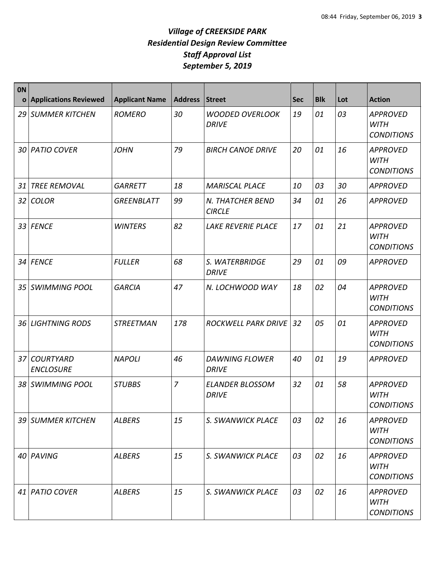| <b>ON</b><br>$\mathbf{o}$ | <b>Applications Reviewed</b>         | <b>Applicant Name</b> | <b>Address</b> | <b>Street</b>                          | <b>Sec</b> | <b>Blk</b> | Lot | <b>Action</b>                                       |
|---------------------------|--------------------------------------|-----------------------|----------------|----------------------------------------|------------|------------|-----|-----------------------------------------------------|
| 29                        | <b>SUMMER KITCHEN</b>                | <b>ROMERO</b>         | 30             | <b>WOODED OVERLOOK</b><br><b>DRIVE</b> | 19         | 01         | 03  | <b>APPROVED</b><br><b>WITH</b><br><b>CONDITIONS</b> |
|                           | 30 PATIO COVER                       | <b>JOHN</b>           | 79             | <b>BIRCH CANOE DRIVE</b>               | 20         | 01         | 16  | <b>APPROVED</b><br><b>WITH</b><br><b>CONDITIONS</b> |
| 31                        | <b>TREE REMOVAL</b>                  | <b>GARRETT</b>        | 18             | <b>MARISCAL PLACE</b>                  | 10         | 03         | 30  | <b>APPROVED</b>                                     |
| 32                        | <b>COLOR</b>                         | <b>GREENBLATT</b>     | 99             | N. THATCHER BEND<br><b>CIRCLE</b>      | 34         | 01         | 26  | <b>APPROVED</b>                                     |
|                           | 33 FENCE                             | <b>WINTERS</b>        | 82             | <b>LAKE REVERIE PLACE</b>              | 17         | 01         | 21  | <b>APPROVED</b><br><b>WITH</b><br><b>CONDITIONS</b> |
|                           | 34 FENCE                             | <b>FULLER</b>         | 68             | S. WATERBRIDGE<br><b>DRIVE</b>         | 29         | 01         | 09  | <b>APPROVED</b>                                     |
| 35                        | <b>SWIMMING POOL</b>                 | <b>GARCIA</b>         | 47             | N. LOCHWOOD WAY                        | 18         | 02         | 04  | <b>APPROVED</b><br><b>WITH</b><br><b>CONDITIONS</b> |
| 36                        | <b>LIGHTNING RODS</b>                | <b>STREETMAN</b>      | 178            | <b>ROCKWELL PARK DRIVE</b>             | 32         | 05         | 01  | <b>APPROVED</b><br><b>WITH</b><br><b>CONDITIONS</b> |
| 37                        | <b>COURTYARD</b><br><b>ENCLOSURE</b> | <b>NAPOLI</b>         | 46             | <b>DAWNING FLOWER</b><br><b>DRIVE</b>  | 40         | 01         | 19  | <b>APPROVED</b>                                     |
| 38                        | SWIMMING POOL                        | <b>STUBBS</b>         | $\overline{z}$ | <b>ELANDER BLOSSOM</b><br><b>DRIVE</b> | 32         | 01         | 58  | <b>APPROVED</b><br><b>WITH</b><br><b>CONDITIONS</b> |
|                           | 39 SUMMER KITCHEN                    | <b>ALBERS</b>         | 15             | S. SWANWICK PLACE                      | 03         | 02         | 16  | <b>APPROVED</b><br><b>WITH</b><br><b>CONDITIONS</b> |
|                           | 40 PAVING                            | <b>ALBERS</b>         | 15             | S. SWANWICK PLACE                      | 03         | 02         | 16  | <b>APPROVED</b><br><b>WITH</b><br><b>CONDITIONS</b> |
|                           | 41 PATIO COVER                       | <b>ALBERS</b>         | 15             | S. SWANWICK PLACE                      | 03         | 02         | 16  | <b>APPROVED</b><br><b>WITH</b><br><b>CONDITIONS</b> |